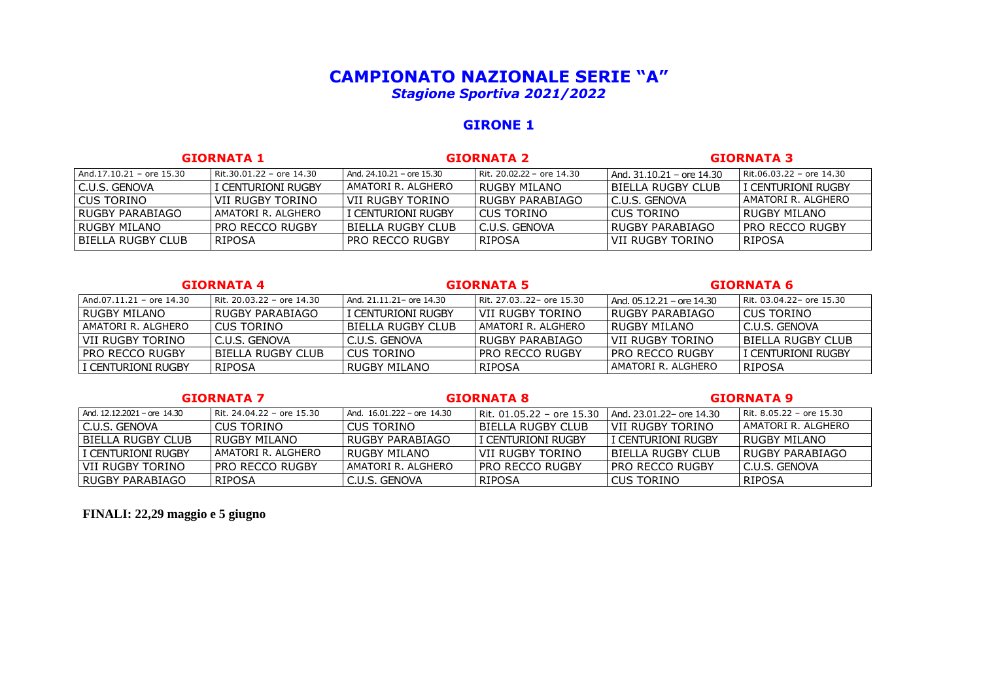# **CAMPIONATO NAZIONALE SERIE "A"** *Stagione Sportiva 2021/2022*

# **GIRONE 1**

| <b>GIORNATA 1</b>        |                          | <b>GIORNATA 2</b>             |                           | <b>GIORNATA 3</b>           |                          |
|--------------------------|--------------------------|-------------------------------|---------------------------|-----------------------------|--------------------------|
| And.17.10.21 - ore 15.30 | Rit.30.01.22 - ore 14.30 | And, $24.10.21$ – ore $15.30$ | Rit. 20.02.22 - ore 14.30 | $And. 31.10.21 - ore 14.30$ | Rit.06.03.22 - ore 14.30 |
| l C.U.S. GENOVA          | I CENTURIONI RUGBY       | l AMATORI R. ALGHERO          | l RUGBY MII ANO           | l BIELLA RUGBY CLUB         | l I centurioni rugby.    |
| l CUS TORINO             | VII RUGBY TORINO         | l VII RUGBY TORINO            | I RUGBY PARABIAGO.        | I C.U.S. GENOVA             | AMATORI R. ALGHERO       |
| l RUGBY PARABIAGO        | AMATORI R. ALGHERO       | i I centurioni rugby          | l CUS TORINO              | l CUS TORINO                | RUGBY MILANO             |
| l RUGBY MILANO           | i pro recco rugby i      | l BIELLA RUGBY CLUB           | l C.U.S. GENOVA           | <b>I RUGBY PARABIAGO</b>    | PRO RECCO RUGBY          |
| l BIELLA RUGBY CLUB      | I RIPOSA                 | I PRO RECCO RUGBY             | RIPOSA                    | l VII RUGBY TORINO          | RIPOSA                   |

### **GIORNATA 4 GIORNATA 5 GIORNATA 6**

| And.07.11.21 - ore 14.30 | l Rit. 20.03.22 – ore 14.30 | And. 21.11.21 – ore 14.30 | Rit. 27.0322- ore 15.30 | l And. 05.12.21 – ore 14.30 | Rit. 03.04.22- ore 15.30 |
|--------------------------|-----------------------------|---------------------------|-------------------------|-----------------------------|--------------------------|
| I RUGBY MILANO           | l RUGBY PARABIAGO           | I CENTURIONI RUGBY        | ' VII RUGBY TORINO      | l RUGBY PARABIAGO           | LCUS TORINO              |
| l AMATORI R. ALGHERO     | l CUS TORINO                | I BIELLA RUGBY CLUB       | AMATORI R. ALGHERO      | I RUGBY MILANO              | I C.U.S. GENOVA          |
| l VII RUGBY TORINO       | I C.U.S. GENOVA             | I C.U.S. GENOVA           | l RUGBY PARABIAGO.      | l VII RUGBY TORINO          | l BIFLLA RUGBY CLUB      |
| I PRO RECCO RUGBY        | I BIFI LA RUGBY CLUB.       | I CUS TORINO              | LPRO RECCO RUGBY        | I PRO RECCO RUGBY           | l I centurioni rugby.    |
| i I centurioni rugby     | RIPOSA                      | l RUGBY MII ANO           | RIPOSA                  | I AMATORI R. ALGHERO        | RIPOSA                   |

### **GIORNATA 7 GIORNATA 8 GIORNATA 9**

| $And. 12.12.2021 - ore 14.30$ | l Rit. 24.04.22 – ore 15.30 | And. 16.01.222 – ore 14.30 | l Rit. 01.05.22 – ore 15.30 | And. 23.01.22- ore 14.30 | l Rit. 8.05.22 – ore 15.30 |
|-------------------------------|-----------------------------|----------------------------|-----------------------------|--------------------------|----------------------------|
| I C.U.S. GENOVA               | l CUS TORINO                | LCUS TORINO                | I BIELLA RUGBY CLUB         | I VII RUGBY TORINO       | AMATORI R. ALGHERO         |
| l BIELLA RUGBY CLUB           | RUGBY MILANO                | I RUGBY PARABIAGO.         | I CENTURIONI RUGBY          | i i centurioni rugby     | I RUGBY MII ANO.           |
| I CENTURIONI RUGBY            | AMATORI R. ALGHERO          | LRUGBY MILANO              | l VII RUGBY TORINO          | I BIFITA RUGBY CLUB.     | RUGBY PARABIAGO            |
| l VII RUGBY TORINO            | <b>PRO RECCO RUGBY</b>      | I AMATORI R. ALGHERO       | I PRO RECCO RUGBY           | I PRO RECCO RUGBY        | I C.U.S. GENOVA            |
| l RUGBY PARABIAGO             | RIPOSA                      | ' C.U.S. GENOVA            | RIPOSA                      | I CUS TORINO             | RIPOSA                     |

# **FINALI: 22,29 maggio e 5 giugno**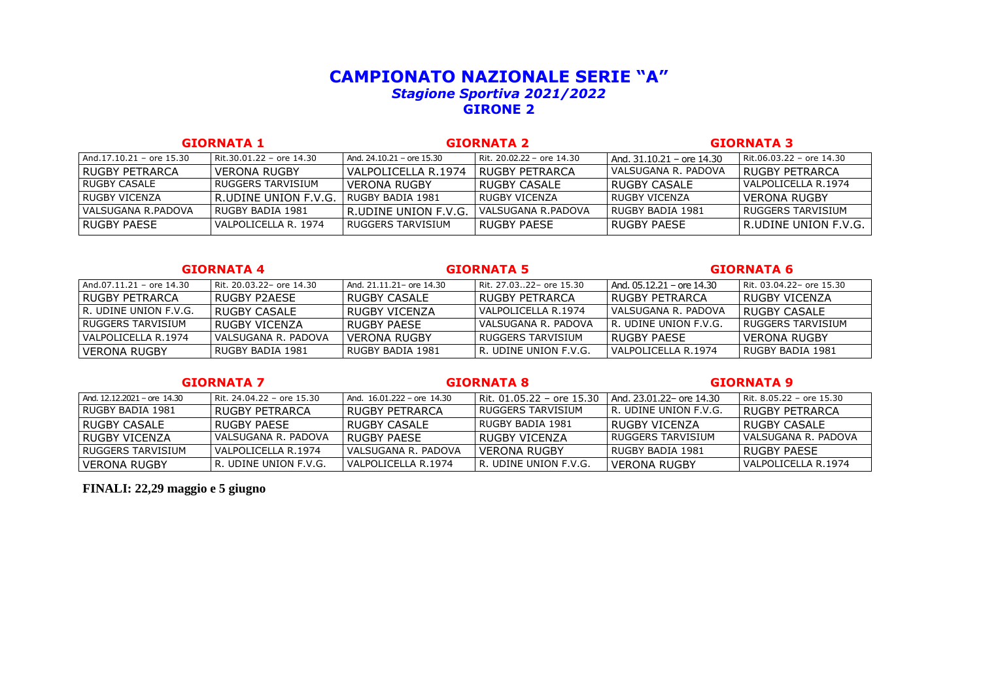# **CAMPIONATO NAZIONALE SERIE "A"**  *Stagione Sportiva 2021/2022* **GIRONE 2**

| <b>GIORNATA 1</b>        |                          | <b>GIORNATA 2</b>           |                           | <b>GIORNATA 3</b>         |                              |
|--------------------------|--------------------------|-----------------------------|---------------------------|---------------------------|------------------------------|
| And.17.10.21 - ore 15.30 | Rit.30.01.22 - ore 14.30 | And. $24.10.21$ – ore 15.30 | Rit. 20.02.22 - ore 14.30 | And. 31.10.21 - ore 14.30 | Rit.06.03.22 - ore 14.30     |
| I RUGBY PFTRARCA         | VERONA RUGBY             | VALPOLICELLA R.1974         | I RUGBY PFTRARCA          | VALSUGANA R. PADOVA       | <b>I RUGBY PETRARCA</b>      |
| l RUGBY CASALE           | RUGGERS TARVISIUM        | <b>VERONA RUGBY</b>         | l RUGBY CASALE            | l RUGBY CASALE            | l VALPOLICELLA R.1974        |
| I RUGBY VICENZA          | R.UDINE UNION F.V.G.     | I RUGBY BADIA 1981          | l RUGBY VICENZA           | l RUGBY VICENZA           | l VERONA RUGBY               |
| VALSUGANA R.PADOVA       | RUGBY BADIA 1981         | l R.UDINE UNION F.V.G.      | VALSUGANA R.PADOVA        | l RUGBY BADIA 1981        | I RUGGERS TARVISIUM          |
| I RUGBY PAFSF            | VALPOLICELLA R. 1974     | l RUGGERS TARVISIUM         | RUGBY PAFSE               | l RUGBY PAESE             | <b>IR.UDINE UNION F.V.G.</b> |

### **GIORNATA 4 GIORNATA 5 GIORNATA 6**

| And.07.11.21 – ore 14.30 | l Rit. 20.03.22– ore 14.30 | And. 21.11.21 – ore 14.30 | Rit. 27.0322– ore 15.30   | l And. 05.12.21 – ore 14.30 | Rit. 03.04.22- ore 15.30 |
|--------------------------|----------------------------|---------------------------|---------------------------|-----------------------------|--------------------------|
| I RUGBY PFTRARCA         | I RUGBY P2AFSF             | I RUGBY CASAI F           | I RUGBY PFTRARCA          | I RUGBY PFTRARCA            | LRUGBY VICENZA           |
| I R. UDINE UNION F.V.G.  | I RUGBY CASAI F            | I RUGBY VICENZA           | I VAI POI ICFI I A R.1974 | I VALSUGANA R. PADOVA       | I RUGBY CASAI F          |
| l RUGGERS TARVISIUM      | I RUGBY VICENZA            | I RUGBY PAFSF             | I VALSUGANA R. PADOVA     | I R. UDINE UNION F.V.G.     | I RUGGERS TARVISIUM      |
| I VALPOLICELLA R.1974    | I VALSUGANA R. PADOVA      | I VERONA RUGBY            | I RUGGERS TARVISIUM       | I RUGBY PAFSE               | I VERONA RUGBY           |
| VERONA RUGBY             | l RUGBY BADIA 1981         | I RUGBY BADIA 1981        | I R. UDINE UNION F.V.G.   | I VAI POI ICFI I A R.1974   | I RUGBY BADIA 1981       |

### **GIORNATA 7 GIORNATA 8 GIORNATA 9**

| And, $12.12.2021$ – ore $14.30$ | l Rit. 24.04.22 – ore 15.30 | And. $16.01.222$ – ore $14.30$ | l Rit. 01.05.22 – ore 15.30 | And. 23.01.22 - ore 14.30 | 1 Rit. 8.05.22 – ore 15.30 |
|---------------------------------|-----------------------------|--------------------------------|-----------------------------|---------------------------|----------------------------|
| l RUGBY BADIA 1981              | RUGBY PFTRARCA              | I RUGBY PFTRARCA.              | I RUGGERS TARVISIUM         | l R. UDINE UNION F.V.G.   | I RUGBY PFTRARCA           |
| I RUGBY CASAI F                 | RUGBY PAFSE                 | I RUGBY CASAI F                | l RUGBY BADIA 1981          | I RUGBY VICENZA.          | I RUGBY CASAI F            |
| I RUGBY VICENZA.                | VALSUGANA R. PADOVA         | I RUGBY PAFSF                  | I RUGBY VICENZA             | l RUGGERS TARVISIUM       | l VALSUGANA R. PADOVA      |
| I RUGGERS TARVISIUM             | VALPOLICELLA R.1974         | VALSUGANA R. PADOVA            | VERONA RUGBY                | l RUGBY BADIA 1981        | I RUGBY PAFSF              |
| I VERONA RUGBY                  | I R. UDINE UNION F.V.G.     | VALPOLICELLA R.1974            | I R. UDINE UNION F.V.G.     | I VERONA RUGBY            | l VALPOLICELLA R.1974      |

## **FINALI: 22,29 maggio e 5 giugno**